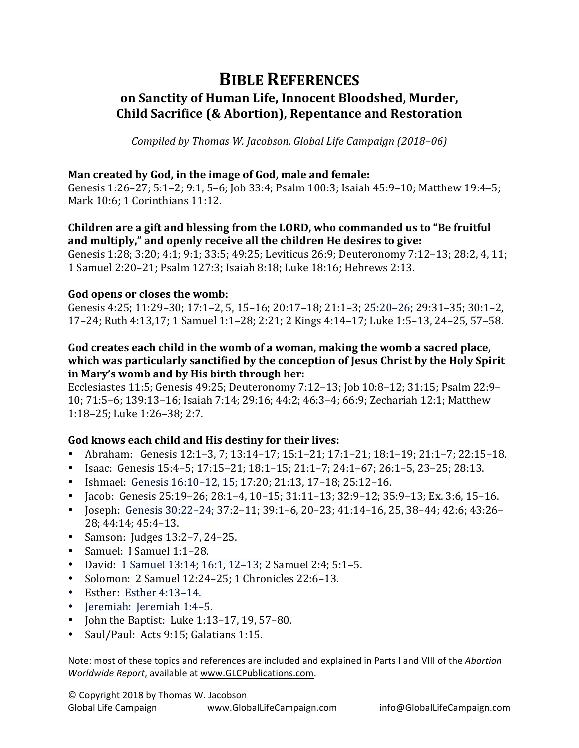# **BIBLE REFERENCES** on Sanctity of Human Life, Innocent Bloodshed, Murder, **Child Sacrifice (& Abortion), Repentance and Restoration**

*Compiled by Thomas W. Jacobson, Global Life Campaign (2018–06)* 

## **Man created by God, in the image of God, male and female:**

Genesis 1:26–27; 5:1–2; 9:1, 5–6; Job 33:4; Psalm 100:3; Isaiah 45:9–10; Matthew 19:4–5; Mark 10:6; 1 Corinthians 11:12.

# **Children are a gift and blessing from the LORD, who commanded us to "Be fruitful** and multiply," and openly receive all the children He desires to give:

Genesis 1:28; 3:20; 4:1; 9:1; 33:5; 49:25; Leviticus 26:9; Deuteronomy 7:12-13; 28:2, 4, 11; 1 Samuel 2:20–21; Psalm 127:3; Isaiah 8:18; Luke 18:16; Hebrews 2:13. 

#### God opens or closes the womb:

Genesis 4:25; 11:29-30; 17:1-2, 5, 15-16; 20:17-18; 21:1-3; 25:20-26; 29:31-35; 30:1-2, 17–24; Ruth 4:13,17; 1 Samuel 1:1–28; 2:21; 2 Kings 4:14–17; Luke 1:5–13, 24–25, 57–58.

# God creates each child in the womb of a woman, making the womb a sacred place, which was particularly sanctified by the conception of Jesus Christ by the Holy Spirit in Mary's womb and by His birth through her:

Ecclesiastes 11:5; Genesis 49:25; Deuteronomy 7:12-13; Job 10:8-12; 31:15; Psalm 22:9-10; 71:5-6; 139:13-16; Isaiah 7:14; 29:16; 44:2; 46:3-4; 66:9; Zechariah 12:1; Matthew 1:18-25; Luke 1:26-38; 2:7.

# God knows each child and His destiny for their lives:

- Abraham: Genesis 12:1–3, 7; 13:14–17; 15:1–21; 17:1–21; 18:1–19; 21:1–7; 22:15–18.
- Isaac: Genesis  $15:4-5$ ;  $17:15-21$ ;  $18:1-15$ ;  $21:1-7$ ;  $24:1-67$ ;  $26:1-5$ ,  $23-25$ ;  $28:13$ .
- Ishmael: Genesis 16:10-12, 15; 17:20; 21:13, 17-18; 25:12-16.
- Jacob: Genesis  $25:19-26$ ;  $28:1-4$ ,  $10-15$ ;  $31:11-13$ ;  $32:9-12$ ;  $35:9-13$ ; Ex.  $3:6$ ,  $15-16$ .
- Joseph: Genesis  $30:22-24$ ;  $37:2-11$ ;  $39:1-6$ ,  $20-23$ ;  $41:14-16$ ,  $25$ ,  $38-44$ ;  $42:6$ ;  $43:26-$ 28; 44:14; 45:4–13.
- Samson: Judges  $13:2-7$ ,  $24-25$ .
- Samuel: I Samuel 1:1-28.
- David: 1 Samuel 13:14; 16:1, 12–13; 2 Samuel 2:4; 5:1–5.
- Solomon: 2 Samuel 12:24–25; 1 Chronicles 22:6–13.
- Esther: Esther 4:13-14.
- Jeremiah: Jeremiah 1:4–5.
- John the Baptist: Luke  $1:13-17$ ,  $19$ ,  $57-80$ .
- Saul/Paul: Acts 9:15; Galatians 1:15.

Note: most of these topics and references are included and explained in Parts I and VIII of the *Abortion Worldwide Report, available at www.GLCPublications.com.*